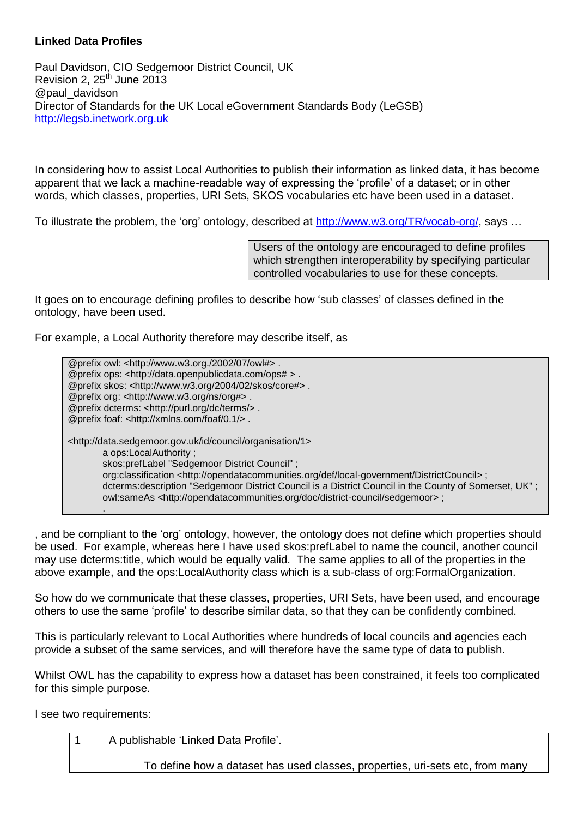## **Linked Data Profiles**

Paul Davidson, CIO Sedgemoor District Council, UK Revision 2,  $25<sup>th</sup>$  June 2013 @paul\_davidson Director of Standards for the UK Local eGovernment Standards Body (LeGSB) [http://legsb.inetwork.org.uk](http://legsb.inetwork.org.uk/)

In considering how to assist Local Authorities to publish their information as linked data, it has become apparent that we lack a machine-readable way of expressing the 'profile' of a dataset; or in other words, which classes, properties, URI Sets, SKOS vocabularies etc have been used in a dataset.

To illustrate the problem, the 'org' ontology, described at [http://www.w3.org/TR/vocab-org/,](http://www.w3.org/TR/vocab-org/) says …

Users of the ontology are encouraged to define profiles which strengthen interoperability by specifying particular controlled vocabularies to use for these concepts.

It goes on to encourage defining profiles to describe how 'sub classes' of classes defined in the ontology, have been used.

For example, a Local Authority therefore may describe itself, as

@prefix owl: <http://www.w3.org./2002/07/owl#> . @prefix ops: <http://data.openpublicdata.com/ops# > . @prefix skos: <http://www.w3.org/2004/02/skos/core#> . @prefix org: <http://www.w3.org/ns/org#> . @prefix dcterms: <http://purl.org/dc/terms/> . @prefix foaf: <http://xmlns.com/foaf/0.1/> . <http://data.sedgemoor.gov.uk/id/council/organisation/1> a ops:LocalAuthority ; skos:prefLabel "Sedgemoor District Council" ; org:classification <http://opendatacommunities.org/def/local-government/DistrictCouncil> ; dcterms:description "Sedgemoor District Council is a District Council in the County of Somerset, UK" ; owl:sameAs <http://opendatacommunities.org/doc/district-council/sedgemoor> ; .

, and be compliant to the 'org' ontology, however, the ontology does not define which properties should be used. For example, whereas here I have used skos:prefLabel to name the council, another council may use dcterms:title, which would be equally valid. The same applies to all of the properties in the above example, and the ops:LocalAuthority class which is a sub-class of org:FormalOrganization.

So how do we communicate that these classes, properties, URI Sets, have been used, and encourage others to use the same 'profile' to describe similar data, so that they can be confidently combined.

This is particularly relevant to Local Authorities where hundreds of local councils and agencies each provide a subset of the same services, and will therefore have the same type of data to publish.

Whilst OWL has the capability to express how a dataset has been constrained, it feels too complicated for this simple purpose.

I see two requirements:

| A publishable 'Linked Data Profile'.                                          |
|-------------------------------------------------------------------------------|
| To define how a dataset has used classes, properties, uri-sets etc, from many |